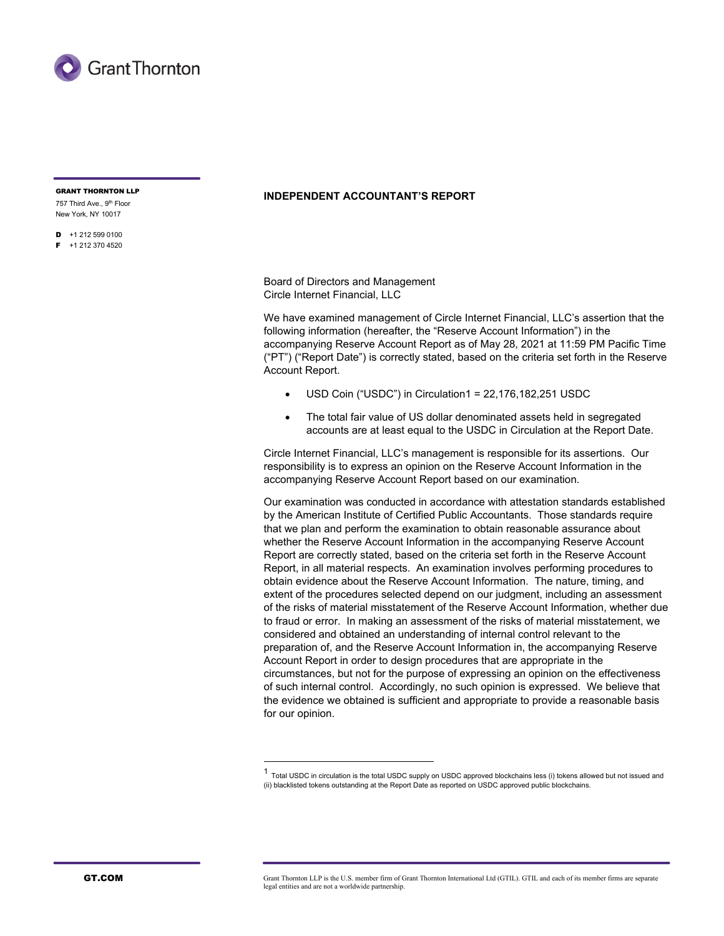

757 Third Ave., 9th Floor New York, NY 10017

 $\blacksquare$  +1 212 599 0100  $F + 12123704520$ 

# **INDEPENDENT ACCOUNTANT'S REPORT**

Board of Directors and Management Circle Internet Financial, LLC

We have examined management of Circle Internet Financial, LLC's assertion that the following information (hereafter, the "Reserve Account Information") in the accompanying Reserve Account Report as of May 28, 2021 at 11:59 PM Pacific Time ("PT") ("Report Date") is correctly stated, based on the criteria set forth in the Reserve Account Report.

- USD Coin ("USDC") in Circulation1 = 22,176,182,251 USDC
- The total fair value of US dollar denominated assets held in segregated accounts are at least equal to the USDC in Circulation at the Report Date.

Circle Internet Financial, LLC's management is responsible for its assertions. Our responsibility is to express an opinion on the Reserve Account Information in the accompanying Reserve Account Report based on our examination.

Our examination was conducted in accordance with attestation standards established by the American Institute of Certified Public Accountants. Those standards require that we plan and perform the examination to obtain reasonable assurance about whether the Reserve Account Information in the accompanying Reserve Account Report are correctly stated, based on the criteria set forth in the Reserve Account Report, in all material respects. An examination involves performing procedures to obtain evidence about the Reserve Account Information. The nature, timing, and extent of the procedures selected depend on our judgment, including an assessment of the risks of material misstatement of the Reserve Account Information, whether due to fraud or error. In making an assessment of the risks of material misstatement, we considered and obtained an understanding of internal control relevant to the preparation of, and the Reserve Account Information in, the accompanying Reserve Account Report in order to design procedures that are appropriate in the circumstances, but not for the purpose of expressing an opinion on the effectiveness of such internal control. Accordingly, no such opinion is expressed. We believe that the evidence we obtained is sufficient and appropriate to provide a reasonable basis for our opinion.

<sup>1</sup> Total USDC in circulation is the total USDC supply on USDC approved blockchains less (i) tokens allowed but not issued and (ii) blacklisted tokens outstanding at the Report Date as reported on USDC approved public blockchains.

GT.COM GRANT Grant Thornton LLP is the U.S. member firm of Grant Thornton International Ltd (GTIL). GTIL and each of its member firms are separate legal entities and are not a worldwide partnership.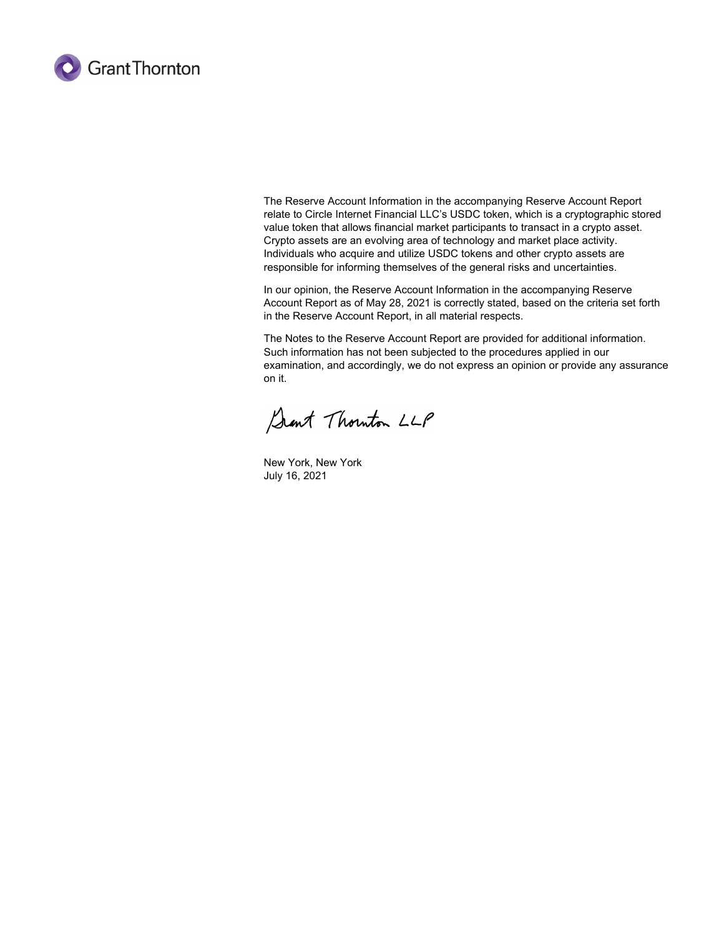

The Reserve Account Information in the accompanying Reserve Account Report relate to Circle Internet Financial LLC's USDC token, which is a cryptographic stored value token that allows financial market participants to transact in a crypto asset. Crypto assets are an evolving area of technology and market place activity. Individuals who acquire and utilize USDC tokens and other crypto assets are responsible for informing themselves of the general risks and uncertainties.

In our opinion, the Reserve Account Information in the accompanying Reserve Account Report as of May 28, 2021 is correctly stated, based on the criteria set forth in the Reserve Account Report, in all material respects.

The Notes to the Reserve Account Report are provided for additional information. Such information has not been subjected to the procedures applied in our examination, and accordingly, we do not express an opinion or provide any assurance on it.

Sant Thouton LLP

New York, New York July 16, 2021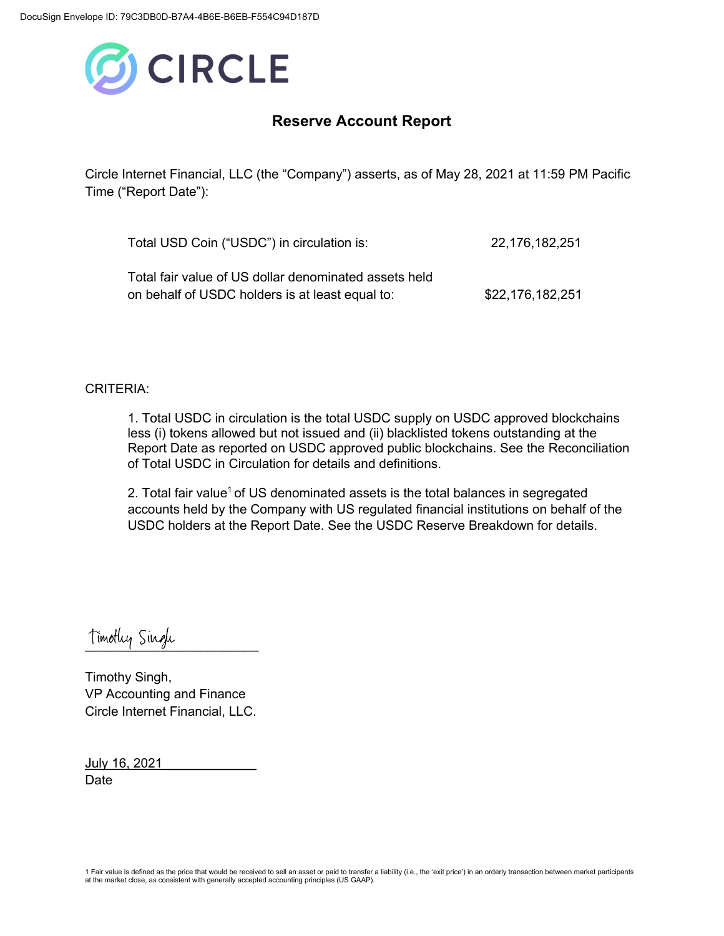

# **Reserve Account Report**

Circle Internet Financial, LLC (the "Company") asserts, as of May 28, 2021 at 11:59 PM Pacific Time ("Report Date"):

| Total USD Coin ("USDC") in circulation is:                                                               | 22,176,182,251   |
|----------------------------------------------------------------------------------------------------------|------------------|
| Total fair value of US dollar denominated assets held<br>on behalf of USDC holders is at least equal to: | \$22,176,182,251 |

### CRITERIA:

1. Total USDC in circulation is the total USDC supply on USDC approved blockchains less (i) tokens allowed but not issued and (ii) blacklisted tokens outstanding at the Report Date as reported on USDC approved public blockchains. See the Reconciliation of Total USDC in Circulation for details and definitions.

2. Total fair value<sup>1</sup> of US denominated assets is the total balances in segregated accounts held by the Company with US regulated financial institutions on behalf of the USDC holders at the Report Date. See the USDC Reserve Breakdown for details.

Timotley Single

Timothy Singh, VP Accounting and Finance Circle Internet Financial, LLC.

July 16, 2021\_\_\_\_\_\_\_\_\_\_\_\_\_ Date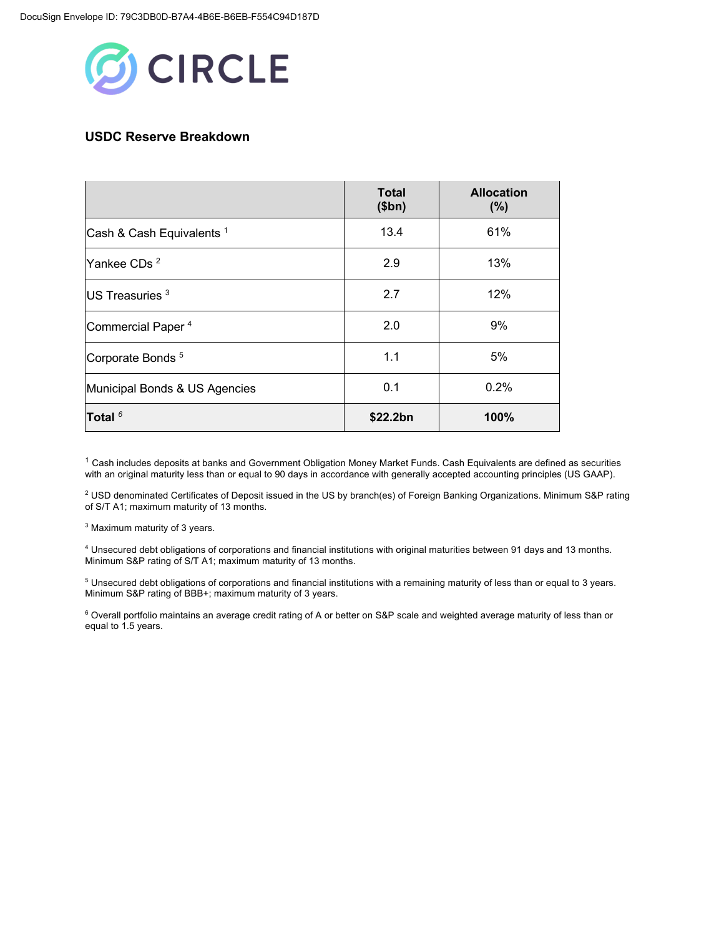

## **USDC Reserve Breakdown**

|                                      | <b>Total</b><br>\$bn) | <b>Allocation</b><br>(%) |
|--------------------------------------|-----------------------|--------------------------|
| Cash & Cash Equivalents <sup>1</sup> | 13.4                  | 61%                      |
| Yankee CDs <sup>2</sup>              | 2.9                   | 13%                      |
| US Treasuries <sup>3</sup>           | 2.7                   | 12%                      |
| Commercial Paper <sup>4</sup>        | 2.0                   | 9%                       |
| Corporate Bonds <sup>5</sup>         | 1.1                   | 5%                       |
| Municipal Bonds & US Agencies        | 0.1                   | 0.2%                     |
| Total $6$                            | \$22.2bn              | 100%                     |

 $1$  Cash includes deposits at banks and Government Obligation Money Market Funds. Cash Equivalents are defined as securities with an original maturity less than or equal to 90 days in accordance with generally accepted accounting principles (US GAAP).

<sup>2</sup> USD denominated Certificates of Deposit issued in the US by branch(es) of Foreign Banking Organizations. Minimum S&P rating of S/T A1; maximum maturity of 13 months.

<sup>3</sup> Maximum maturity of 3 years.

<sup>4</sup> Unsecured debt obligations of corporations and financial institutions with original maturities between 91 days and 13 months. Minimum S&P rating of S/T A1; maximum maturity of 13 months.

<sup>5</sup> Unsecured debt obligations of corporations and financial institutions with a remaining maturity of less than or equal to 3 years. Minimum S&P rating of BBB+; maximum maturity of 3 years.

<sup>6</sup> Overall portfolio maintains an average credit rating of A or better on S&P scale and weighted average maturity of less than or equal to 1.5 years.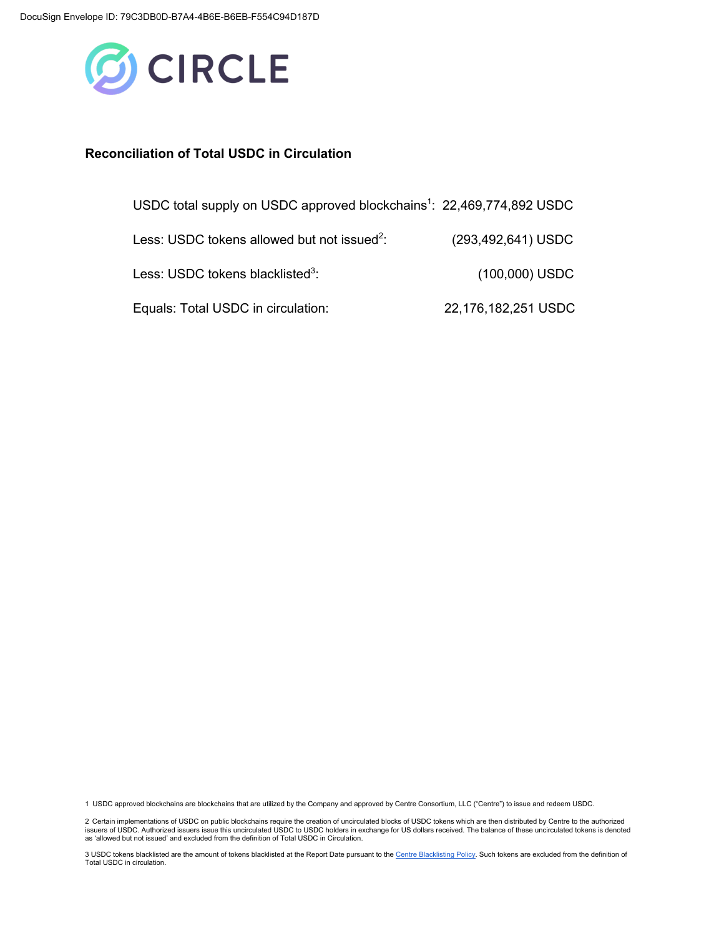

#### **Reconciliation of Total USDC in Circulation**

| USDC total supply on USDC approved blockchains <sup>1</sup> : 22,469,774,892 USDC |                     |
|-----------------------------------------------------------------------------------|---------------------|
| Less: USDC tokens allowed but not issued <sup>2</sup> :                           | (293,492,641) USDC  |
| Less: USDC tokens blacklisted <sup>3</sup> :                                      | (100,000) USDC      |
| Equals: Total USDC in circulation:                                                | 22,176,182,251 USDC |

1 USDC approved blockchains are blockchains that are utilized by the Company and approved by Centre Consortium, LLC ("Centre") to issue and redeem USDC.

2 Certain implementations of USDC on public blockchains require the creation of uncirculated blocks of USDC tokens which are then distributed by Centre to the authorized<br>issuers of USDC. Authorized issue this uncirculated

3 USDC tokens blacklisted are the amount of tokens blacklisted at the Report Date pursuant to the Centre Blacklisting Policy. Such tokens are excluded from the definition of Total USDC in circulation.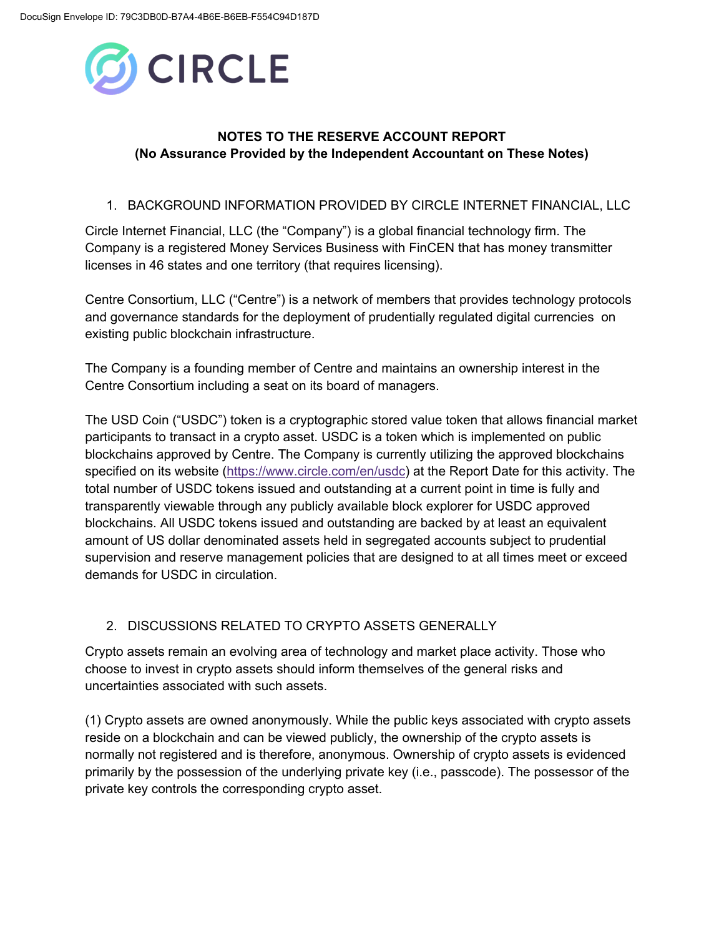

# **NOTES TO THE RESERVE ACCOUNT REPORT (No Assurance Provided by the Independent Accountant on These Notes)**

## 1. BACKGROUND INFORMATION PROVIDED BY CIRCLE INTERNET FINANCIAL, LLC

Circle Internet Financial, LLC (the "Company") is a global financial technology firm. The Company is a registered Money Services Business with FinCEN that has money transmitter licenses in 46 states and one territory (that requires licensing).

Centre Consortium, LLC ("Centre") is a network of members that provides technology protocols and governance standards for the deployment of prudentially regulated digital currencies on existing public blockchain infrastructure.

The Company is a founding member of Centre and maintains an ownership interest in the Centre Consortium including a seat on its board of managers.

The USD Coin ("USDC") token is a cryptographic stored value token that allows financial market participants to transact in a crypto asset. USDC is a token which is implemented on public blockchains approved by Centre. The Company is currently utilizing the approved blockchains specified on its website (https://www.circle.com/en/usdc) at the Report Date for this activity. The total number of USDC tokens issued and outstanding at a current point in time is fully and transparently viewable through any publicly available block explorer for USDC approved blockchains. All USDC tokens issued and outstanding are backed by at least an equivalent amount of US dollar denominated assets held in segregated accounts subject to prudential supervision and reserve management policies that are designed to at all times meet or exceed demands for USDC in circulation.

## 2. DISCUSSIONS RELATED TO CRYPTO ASSETS GENERALLY

Crypto assets remain an evolving area of technology and market place activity. Those who choose to invest in crypto assets should inform themselves of the general risks and uncertainties associated with such assets.

(1) Crypto assets are owned anonymously. While the public keys associated with crypto assets reside on a blockchain and can be viewed publicly, the ownership of the crypto assets is normally not registered and is therefore, anonymous. Ownership of crypto assets is evidenced primarily by the possession of the underlying private key (i.e., passcode). The possessor of the private key controls the corresponding crypto asset.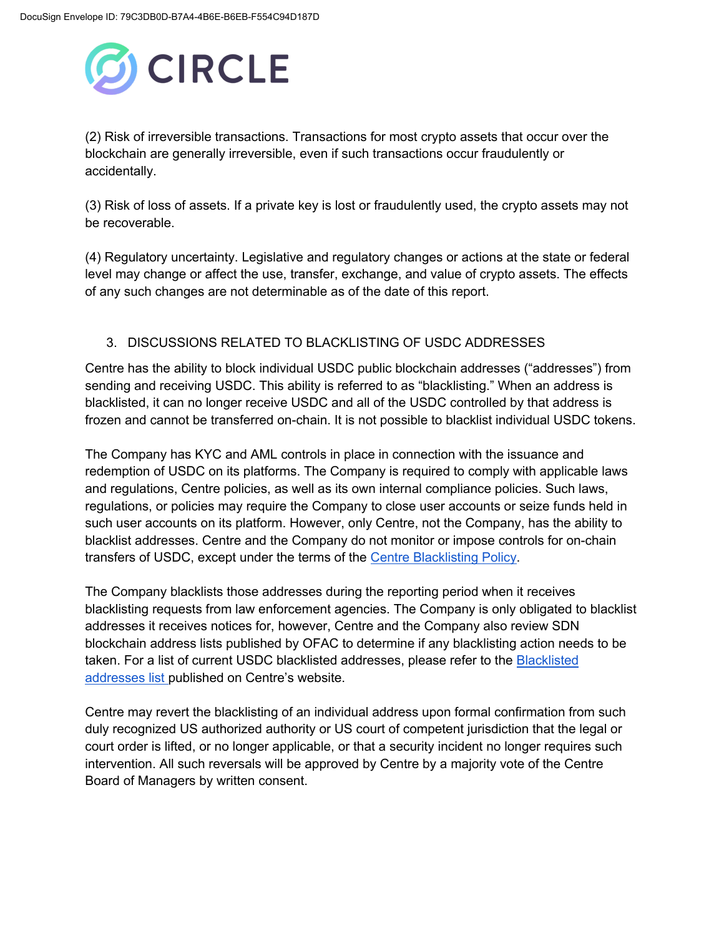

(2) Risk of irreversible transactions. Transactions for most crypto assets that occur over the blockchain are generally irreversible, even if such transactions occur fraudulently or accidentally.

(3) Risk of loss of assets. If a private key is lost or fraudulently used, the crypto assets may not be recoverable.

(4) Regulatory uncertainty. Legislative and regulatory changes or actions at the state or federal level may change or affect the use, transfer, exchange, and value of crypto assets. The effects of any such changes are not determinable as of the date of this report.

## 3. DISCUSSIONS RELATED TO BLACKLISTING OF USDC ADDRESSES

Centre has the ability to block individual USDC public blockchain addresses ("addresses") from sending and receiving USDC. This ability is referred to as "blacklisting." When an address is blacklisted, it can no longer receive USDC and all of the USDC controlled by that address is frozen and cannot be transferred on-chain. It is not possible to blacklist individual USDC tokens.

The Company has KYC and AML controls in place in connection with the issuance and redemption of USDC on its platforms. The Company is required to comply with applicable laws and regulations, Centre policies, as well as its own internal compliance policies. Such laws, regulations, or policies may require the Company to close user accounts or seize funds held in such user accounts on its platform. However, only Centre, not the Company, has the ability to blacklist addresses. Centre and the Company do not monitor or impose controls for on-chain transfers of USDC, except under the terms of the Centre Blacklisting Policy.

The Company blacklists those addresses during the reporting period when it receives blacklisting requests from law enforcement agencies. The Company is only obligated to blacklist addresses it receives notices for, however, Centre and the Company also review SDN blockchain address lists published by OFAC to determine if any blacklisting action needs to be taken. For a list of current USDC blacklisted addresses, please refer to the **Blacklisted** addresses list published on Centre's website.

Centre may revert the blacklisting of an individual address upon formal confirmation from such duly recognized US authorized authority or US court of competent jurisdiction that the legal or court order is lifted, or no longer applicable, or that a security incident no longer requires such intervention. All such reversals will be approved by Centre by a majority vote of the Centre Board of Managers by written consent.